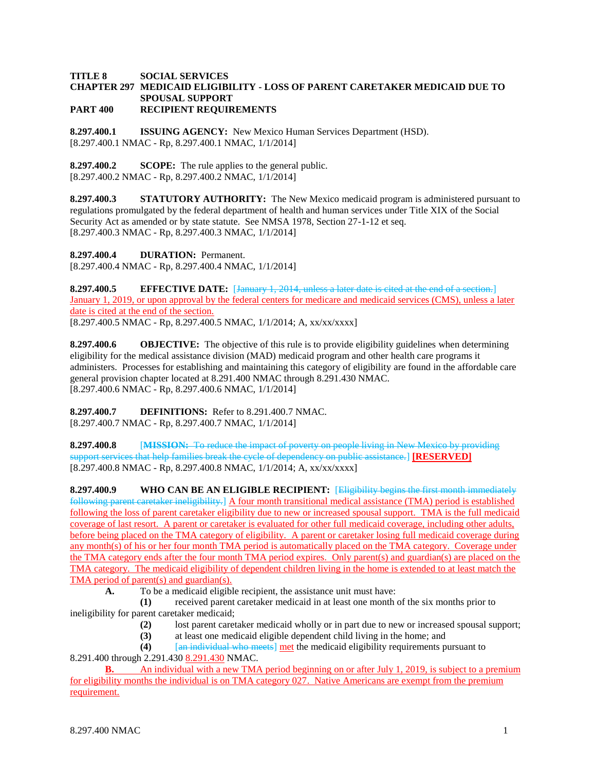## **TITLE 8 SOCIAL SERVICES CHAPTER 297 MEDICAID ELIGIBILITY - LOSS OF PARENT CARETAKER MEDICAID DUE TO SPOUSAL SUPPORT PART 400 RECIPIENT REQUIREMENTS**

**8.297.400.1 ISSUING AGENCY:** New Mexico Human Services Department (HSD). [8.297.400.1 NMAC - Rp, 8.297.400.1 NMAC, 1/1/2014]

**8.297.400.2 SCOPE:** The rule applies to the general public. [8.297.400.2 NMAC - Rp, 8.297.400.2 NMAC, 1/1/2014]

**8.297.400.3 STATUTORY AUTHORITY:** The New Mexico medicaid program is administered pursuant to regulations promulgated by the federal department of health and human services under Title XIX of the Social Security Act as amended or by state statute. See NMSA 1978, Section 27-1-12 et seq. [8.297.400.3 NMAC - Rp, 8.297.400.3 NMAC, 1/1/2014]

**8.297.400.4 DURATION:** Permanent. [8.297.400.4 NMAC - Rp, 8.297.400.4 NMAC, 1/1/2014]

**8.297.400.5 EFFECTIVE DATE:** [January 1, 2014, unless a later date is cited at the end of a section.] January 1, 2019, or upon approval by the federal centers for medicare and medicaid services (CMS), unless a later date is cited at the end of the section. [8.297.400.5 NMAC - Rp, 8.297.400.5 NMAC, 1/1/2014; A, xx/xx/xxxx]

**8.297.400.6 OBJECTIVE:** The objective of this rule is to provide eligibility guidelines when determining eligibility for the medical assistance division (MAD) medicaid program and other health care programs it administers. Processes for establishing and maintaining this category of eligibility are found in the affordable care general provision chapter located at 8.291.400 NMAC through 8.291.430 NMAC. [8.297.400.6 NMAC - Rp, 8.297.400.6 NMAC, 1/1/2014]

**8.297.400.7 DEFINITIONS:** Refer to 8.291.400.7 NMAC. [8.297.400.7 NMAC - Rp, 8.297.400.7 NMAC, 1/1/2014]

**8.297.400.8** [**MISSION:** To reduce the impact of poverty on people living in New Mexico by providing support services that help families break the cycle of dependency on public assistance.] **[RESERVED]**  $[8.297.400.8 \text{ NMAC} - \text{Rp}, 8.297.400.8 \text{ NMAC}, 1/1/2014; \text{A}, \text{xx}/\text{xx}/\text{xx} \text{X}$ 

**8.297.400.9 WHO CAN BE AN ELIGIBLE RECIPIENT:** [Eligibility begins the first month immediately following parent caretaker ineligibility.]  $\Delta$  four month transitional medical assistance (TMA) period is established following the loss of parent caretaker eligibility due to new or increased spousal support. TMA is the full medicaid coverage of last resort. A parent or caretaker is evaluated for other full medicaid coverage, including other adults, before being placed on the TMA category of eligibility. A parent or caretaker losing full medicaid coverage during any month(s) of his or her four month TMA period is automatically placed on the TMA category. Coverage under the TMA category ends after the four month TMA period expires. Only parent(s) and guardian(s) are placed on the TMA category. The medicaid eligibility of dependent children living in the home is extended to at least match the TMA period of parent(s) and guardian(s).

**A.** To be a medicaid eligible recipient, the assistance unit must have:

**(1)** received parent caretaker medicaid in at least one month of the six months prior to ineligibility for parent caretaker medicaid;

- **(2)** lost parent caretaker medicaid wholly or in part due to new or increased spousal support;
- **(3)** at least one medicaid eligible dependent child living in the home; and

**(4)** [an individual who meets] met the medicaid eligibility requirements pursuant to 8.291.400 through 2.291.430 8.291.430 NMAC.

**B.** An individual with a new TMA period beginning on or after July 1, 2019, is subject to a premium for eligibility months the individual is on TMA category 027. Native Americans are exempt from the premium requirement.